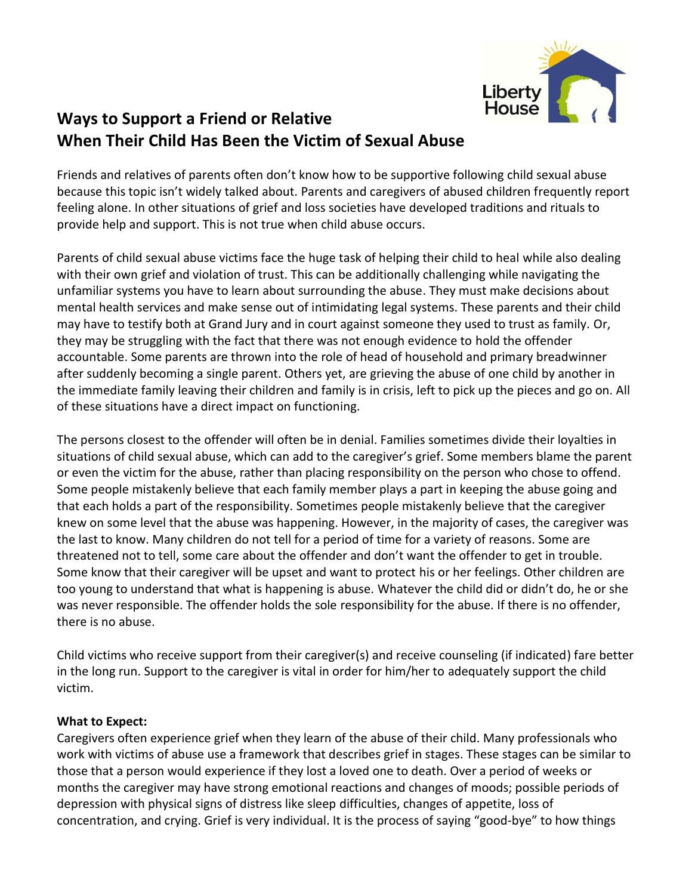

## **Ways to Support a Friend or Relative When Their Child Has Been the Victim of Sexual Abuse**

Friends and relatives of parents often don't know how to be supportive following child sexual abuse because this topic isn't widely talked about. Parents and caregivers of abused children frequently report feeling alone. In other situations of grief and loss societies have developed traditions and rituals to provide help and support. This is not true when child abuse occurs.

Parents of child sexual abuse victims face the huge task of helping their child to heal while also dealing with their own grief and violation of trust. This can be additionally challenging while navigating the unfamiliar systems you have to learn about surrounding the abuse. They must make decisions about mental health services and make sense out of intimidating legal systems. These parents and their child may have to testify both at Grand Jury and in court against someone they used to trust as family. Or, they may be struggling with the fact that there was not enough evidence to hold the offender accountable. Some parents are thrown into the role of head of household and primary breadwinner after suddenly becoming a single parent. Others yet, are grieving the abuse of one child by another in the immediate family leaving their children and family is in crisis, left to pick up the pieces and go on. All of these situations have a direct impact on functioning.

The persons closest to the offender will often be in denial. Families sometimes divide their loyalties in situations of child sexual abuse, which can add to the caregiver's grief. Some members blame the parent or even the victim for the abuse, rather than placing responsibility on the person who chose to offend. Some people mistakenly believe that each family member plays a part in keeping the abuse going and that each holds a part of the responsibility. Sometimes people mistakenly believe that the caregiver knew on some level that the abuse was happening. However, in the majority of cases, the caregiver was the last to know. Many children do not tell for a period of time for a variety of reasons. Some are threatened not to tell, some care about the offender and don't want the offender to get in trouble. Some know that their caregiver will be upset and want to protect his or her feelings. Other children are too young to understand that what is happening is abuse. Whatever the child did or didn't do, he or she was never responsible. The offender holds the sole responsibility for the abuse. If there is no offender, there is no abuse.

Child victims who receive support from their caregiver(s) and receive counseling (if indicated) fare better in the long run. Support to the caregiver is vital in order for him/her to adequately support the child victim.

## **What to Expect:**

Caregivers often experience grief when they learn of the abuse of their child. Many professionals who work with victims of abuse use a framework that describes grief in stages. These stages can be similar to those that a person would experience if they lost a loved one to death. Over a period of weeks or months the caregiver may have strong emotional reactions and changes of moods; possible periods of depression with physical signs of distress like sleep difficulties, changes of appetite, loss of concentration, and crying. Grief is very individual. It is the process of saying "good-bye" to how things